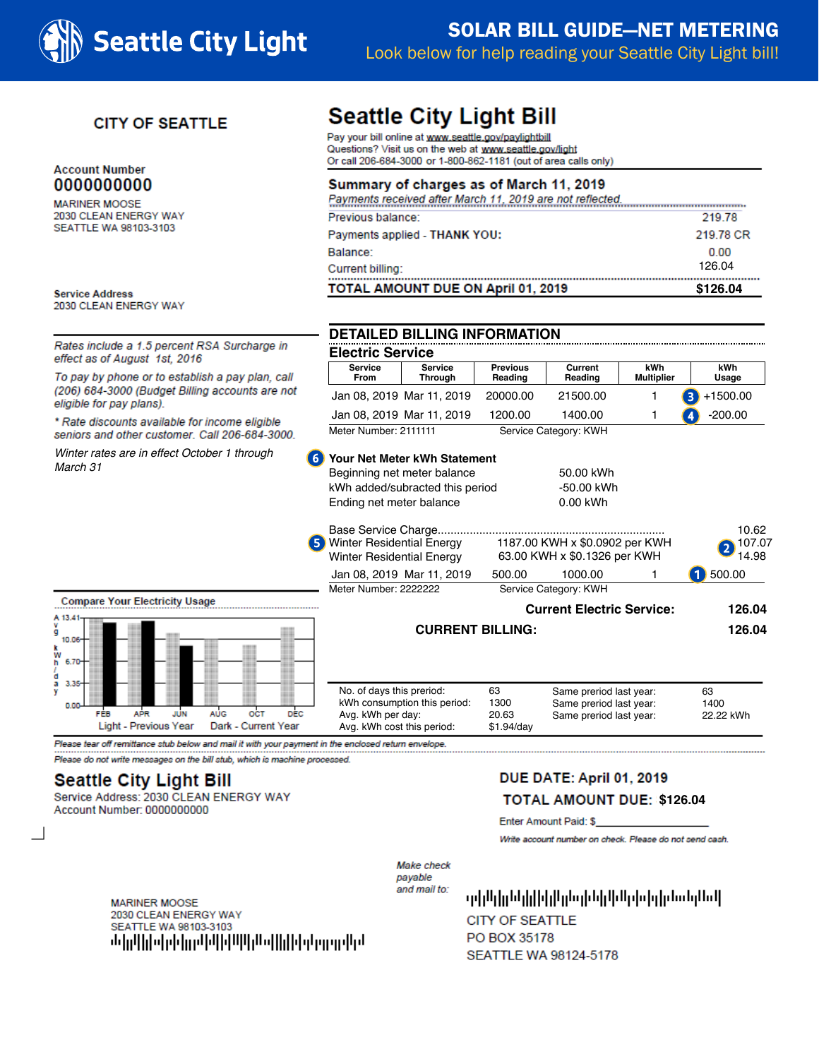

# **SOLAR BILL GUIDE-NET METERING** Look below for help reading your Seattle City Light bill!

### **CITY OF SEATTLE**

### **Account Number** 0000000000

**MARINER MOOSE** 2030 CLEAN ENERGY WAY SEATTLE WA 98103-3103

**Service Address** 2030 CLEAN ENERGY WAY

**Compare Your Electricit** 

FÉB

 $A_{V}$  13.4 ă  $10.06$ k<br>W ņ 6.70 'n  $3.3$ o o

Rates include a 1.5 percent RSA Surcharge in effect as of August 1st, 2016

To pay by phone or to establish a pay plan, call (206) 684-3000 (Budget Billing accounts are not eligible for pay plans).

\* Rate discounts available for income eligible seniors and other customer. Call 206-684-3000.

Winter rates are in effect October 1 through March 31

# **Seattle City Light Bill**

Pay your bill online at www.seattle.gov/paylightbill Questions? Visit us on the web at www.seattle.gov/light Or call 206-684-3000 or 1-800-862-1181 (out of area calls only)

### Summary of charges as of March 11, 2019

| TOTAL AMOUNT DUE ON April 01, 2019                        | \$126.04  |
|-----------------------------------------------------------|-----------|
| Current billing:                                          | 126.04    |
| Balance:                                                  | 0.00      |
| Payments applied - THANK YOU:                             | 219.78 CR |
| Previous balance:                                         | 219.78    |
| Payments received after March 11, 2019 are not reflected. |           |

### **DETAILED BILLING INFORMATION**

| <b>Electric Service</b>       |                           |                            |                       |                          |                                      |  |  |  |
|-------------------------------|---------------------------|----------------------------|-----------------------|--------------------------|--------------------------------------|--|--|--|
| <b>Service</b><br><b>From</b> | <b>Service</b><br>Through | <b>Previous</b><br>Reading | Current<br>Reading    | kWh<br><b>Multiplier</b> | kWh<br>Usage                         |  |  |  |
|                               | Jan 08, 2019 Mar 11, 2019 | 20000.00                   | 21500.00              |                          | $\left(3\right)$ +1500.00            |  |  |  |
|                               | Jan 08, 2019 Mar 11, 2019 | 1200.00                    | 1400.00               |                          | $\left  \bm{A} \right $<br>$-200.00$ |  |  |  |
| Meter Number: 2111111         |                           |                            | Service Category: KWH |                          |                                      |  |  |  |

### **6** Your Net Meter kWh Statement

|                                                                                                             | Beginning net meter balance<br>kWh added/subracted this period<br>Ending net meter balance                   | 50.00 kWh<br>-50.00 kWh<br>0.00 kWh |                                                                               |        |                          |
|-------------------------------------------------------------------------------------------------------------|--------------------------------------------------------------------------------------------------------------|-------------------------------------|-------------------------------------------------------------------------------|--------|--------------------------|
|                                                                                                             | Base Service Charge<br><b>Winter Residential Energy</b><br>5)<br><b>Winter Residential Energy</b>            |                                     | 1187.00 KWH x \$0.0902 per KWH<br>63.00 KWH x \$0.1326 per KWH                |        | 10.62<br>107.07<br>14.98 |
|                                                                                                             | Jan 08, 2019 Mar 11, 2019<br>Meter Number: 2222222                                                           | 500.00                              | 1000.00<br>Service Category: KWH                                              |        | 500.00                   |
| re Your Electricity Usage                                                                                   | <b>Current Electric Service:</b>                                                                             |                                     |                                                                               | 126.04 |                          |
|                                                                                                             | <b>CURRENT BILLING:</b>                                                                                      |                                     |                                                                               |        | 126.04                   |
| <b>AUG</b><br>FÉB<br><b>OCT</b><br><b>DEC</b><br>APR<br>JUN<br>Light - Previous Year<br>Dark - Current Year | No. of days this preriod:<br>kWh consumption this period:<br>Avg. kWh per day:<br>Ava. kWh cost this period: | 63<br>1300<br>20.63<br>$$1.94$ /dav | Same preriod last year:<br>Same preriod last year:<br>Same preriod last year: |        | 63<br>1400<br>22.22 kWh  |

Please tear off remittance stub below and mail it with your payment in the enclosed return envelope.

Please do not write messages on the bill stub, which is machine processed.

## **Seattle City Light Bill**

Service Address: 2030 CLEAN ENERGY WAY Account Number: 0000000000

## DUE DATE: April 01, 2019

#### **TOTAL AMOUNT DUE: \$126.04**

Enter Amount Paid: \$

Write account number on check. Please do not send cash.

Make check payable and mail to:

ի սկիկյին կիկվական կազմական կառա **CITY OF SEATTLE** PO BOX 35178 SEATTLE WA 98124-5178

**MARINER MOOSE** 2030 CLEAN ENERGY WAY SEATTLE WA 98103-3103 <u>մակիկական կավական կազմական կազմական</u>